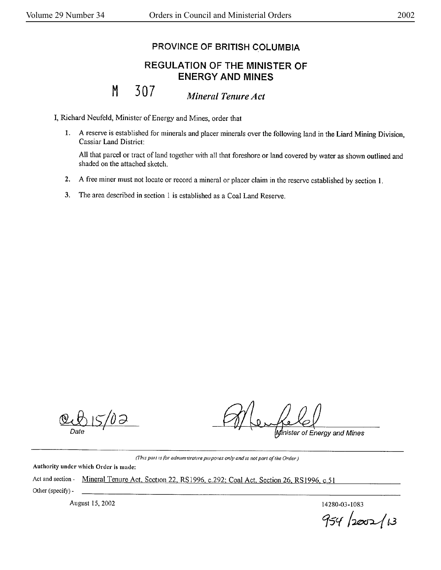## PROVINCE OF BRITISH COLUMBIA

## REGULATION OF THE MINISTER OF ENERGY **AND MINES**

M 307 *Mineral Tenure Act* 

I, Richard Neufeld, Minister of Energy and Mines, order that

1. A reserve is established for minerals and placer minerals over the following land in the Liard Mining Division, Cassiar Land District:

All that parcel or tract of land together with all that foreshore or land covered by water as shown outlined and shaded on the attached sketch.

- **2. A** free miner must not locate or record a mineral or placer claim in the reserve established by section I.
- 3. The area described in section 1 is established as a Coal Land Reserve.

'OƏ

Minister of Energy and Mines

(This pail is for administrative purposes only and is not part of the Order)

Authority under which Order is made:

Act and section - Mineral Tenure Act, Section 22, RS1996, c.292; Coal Act, Section 26, RS1996, c.51 Other (specify)-

August 15, 2002 **14280-03-1083** 

*C/5'( /~t.3*